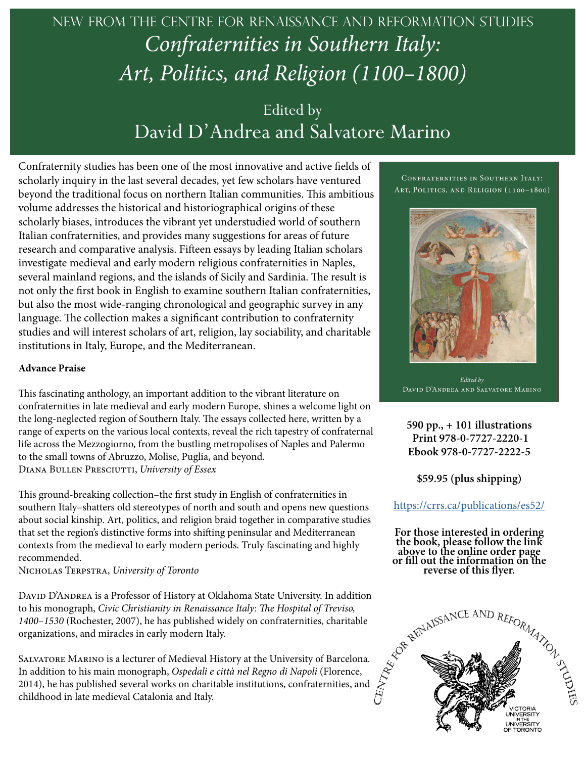## New from the centre for renaissance and reformation studies *Confraternities in Southern Italy: Art, Politics, and Religion (1100–1800)*

### Edited by David D'Andrea and Salvatore Marino

Confraternity studies has been one of the most innovative and active fields of scholarly inquiry in the last several decades, yet few scholars have ventured beyond the traditional focus on northern Italian communities. This ambitious volume addresses the historical and historiographical origins of these scholarly biases, introduces the vibrant yet understudied world of southern Italian confraternities, and provides many suggestions for areas of future research and comparative analysis. Fifteen essays by leading Italian scholars investigate medieval and early modern religious confraternities in Naples, several mainland regions, and the islands of Sicily and Sardinia. The result is not only the first book in English to examine southern Italian confraternities, but also the most wide-ranging chronological and geographic survey in any language. The collection makes a significant contribution to confraternity studies and will interest scholars of art, religion, lay sociability, and charitable institutions in Italy, Europe, and the Mediterranean.

#### **Advance Praise**

This fascinating anthology, an important addition to the vibrant literature on confraternities in late medieval and early modern Europe, shines a welcome light on the long-neglected region of Southern Italy. The essays collected here, written by a range of experts on the various local contexts, reveal the rich tapestry of confraternal life across the Mezzogiorno, from the bustling metropolises of Naples and Palermo to the small towns of Abruzzo, Molise, Puglia, and beyond. Diana Bullen Presciutti, *University of Essex*

This ground-breaking collection–the first study in English of confraternities in southern Italy–shatters old stereotypes of north and south and opens new questions about social kinship. Art, politics, and religion braid together in comparative studies that set the region's distinctive forms into shifting peninsular and Mediterranean contexts from the medieval to early modern periods. Truly fascinating and highly recommended.

Nicholas Terpstra, *University of Toronto*

DAVID D'ANDREA is a Professor of History at Oklahoma State University. In addition to his monograph, *Civic Christianity in Renaissance Italy: The Hospital of Treviso, 1400–1530* (Rochester, 2007), he has published widely on confraternities, charitable organizations, and miracles in early modern Italy.

Salvatore Marino is a lecturer of Medieval History at the University of Barcelona. In addition to his main monograph, *Ospedali e città nel Regno di Napoli* (Florence, 2014), he has published several works on charitable institutions, confraternities, and childhood in late medieval Catalonia and Italy.

CONFRATERNITIES IN SOUTHERN ITALY: ART, POLITICS, AND RELIGION (1100-1800)



Edited by DAVID D'ANDREA AND SALVATORE MARINO

**590 pp., + 101 illustrations Print 978-0-7727-2220-1 Ebook 978-0-7727-2222-5**

**\$59.95 (plus shipping)**

#### https://crrs.ca/publications/es52/

**For those interested in ordering the book, please follow the link above to the online order page or fill out the information on the reverse of this flyer.**